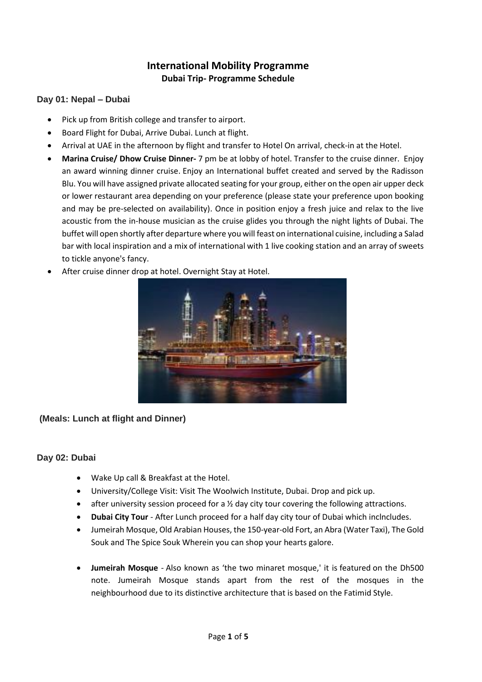# **International Mobility Programme Dubai Trip- Programme Schedule**

### **Day 01: Nepal – Dubai**

- Pick up from British college and transfer to airport.
- Board Flight for Dubai, Arrive Dubai. Lunch at flight.
- Arrival at UAE in the afternoon by flight and transfer to Hotel On arrival, check-in at the Hotel.
- **Marina Cruise/ Dhow Cruise Dinner-** 7 pm be at lobby of hotel. Transfer to the cruise dinner. Enjoy an award winning dinner cruise. Enjoy an International buffet created and served by the Radisson Blu. You will have assigned private allocated seating for your group, either on the open air upper deck or lower restaurant area depending on your preference (please state your preference upon booking and may be pre-selected on availability). Once in position enjoy a fresh juice and relax to the live acoustic from the in-house musician as the cruise glides you through the night lights of Dubai. The buffet will open shortly after departure where you will feast on international cuisine, including a Salad bar with local inspiration and a mix of international with 1 live cooking station and an array of sweets to tickle anyone's fancy.
- After cruise dinner drop at hotel. Overnight Stay at Hotel.



# **(Meals: Lunch at flight and Dinner)**

### **Day 02: Dubai**

- Wake Up call & Breakfast at the Hotel.
- University/College Visit: Visit The Woolwich Institute, Dubai. Drop and pick up.
- after university session proceed for a  $\frac{1}{2}$  day city tour covering the following attractions.
- **Dubai City Tour** After Lunch proceed for a half day city tour of Dubai which inclncludes.
- Jumeirah Mosque, Old Arabian Houses, the 150-year-old Fort, an Abra (Water Taxi), The Gold Souk and The Spice Souk Wherein you can shop your hearts galore.
- **Jumeirah Mosque** Also known as 'the two minaret mosque,' it is featured on the Dh500 note. Jumeirah Mosque stands apart from the rest of the mosques in the neighbourhood due to its distinctive architecture that is based on the Fatimid Style.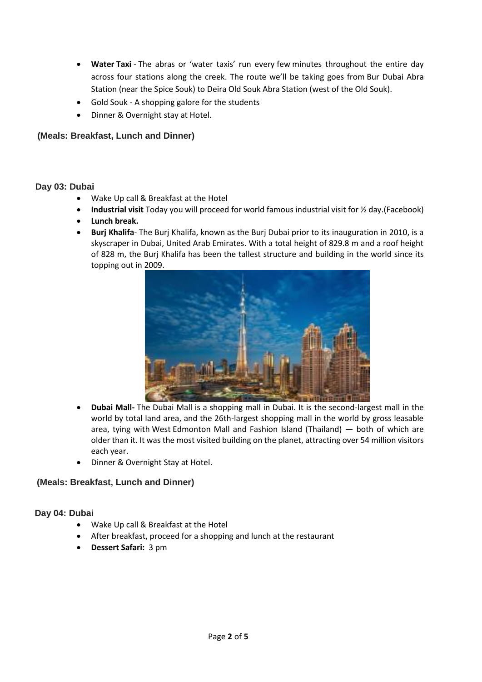- **Water Taxi** The abras or 'water taxis' run every few minutes throughout the entire day across four stations along the creek. The route we'll be taking goes from Bur Dubai Abra Station (near the Spice Souk) to Deira Old Souk Abra Station (west of the Old Souk).
- Gold Souk A shopping galore for the students
- Dinner & Overnight stay at Hotel.

# **(Meals: Breakfast, Lunch and Dinner)**

### **Day 03: Dubai**

- Wake Up call & Breakfast at the Hotel
- **Industrial visit** Today you will proceed for world famous industrial visit for ½ day.(Facebook)
- **Lunch break.**
- **Burj Khalifa** The Burj Khalifa, known as the Burj Dubai prior to its inauguration in 2010, is a skyscraper in Dubai, United Arab Emirates. With a total height of 829.8 m and a roof height of 828 m, the Burj Khalifa has been the tallest structure and building in the world since its topping out in 2009.



- **Dubai Mall-** The Dubai Mall is a shopping mall in Dubai. It is the second-largest mall in the world by total land area, and the 26th-largest shopping mall in the world by gross leasable area, tying with West Edmonton Mall and Fashion Island (Thailand) — both of which are older than it. It was the most visited building on the planet, attracting over 54 million visitors each year.
- Dinner & Overnight Stay at Hotel.

# **(Meals: Breakfast, Lunch and Dinner)**

### **Day 04: Dubai**

- Wake Up call & Breakfast at the Hotel
- After breakfast, proceed for a shopping and lunch at the restaurant
- **Dessert Safari:** 3 pm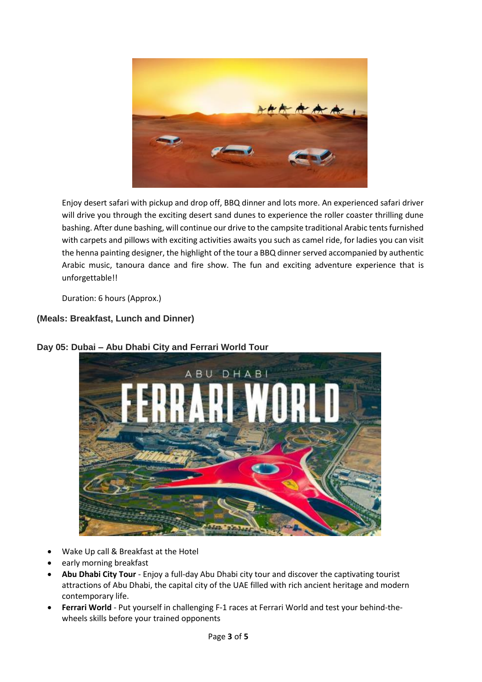

Enjoy desert safari with pickup and drop off, BBQ dinner and lots more. An experienced safari driver will drive you through the exciting desert sand dunes to experience the roller coaster thrilling dune bashing. After dune bashing, will continue our drive to the campsite traditional Arabic tents furnished with carpets and pillows with exciting activities awaits you such as camel ride, for ladies you can visit the henna painting designer, the highlight of the tour a BBQ dinner served accompanied by authentic Arabic music, tanoura dance and fire show. The fun and exciting adventure experience that is unforgettable!!

Duration: 6 hours (Approx.)

# **(Meals: Breakfast, Lunch and Dinner)**



# **Day 05: Dubai – Abu Dhabi City and Ferrari World Tour**

- Wake Up call & Breakfast at the Hotel
- early morning breakfast
- **Abu Dhabi City Tour** Enjoy a full-day Abu Dhabi city tour and discover the captivating tourist attractions of Abu Dhabi, the capital city of the UAE filled with rich ancient heritage and modern contemporary life.
- **Ferrari World** Put yourself in challenging F-1 races at Ferrari World and test your behind-thewheels skills before your trained opponents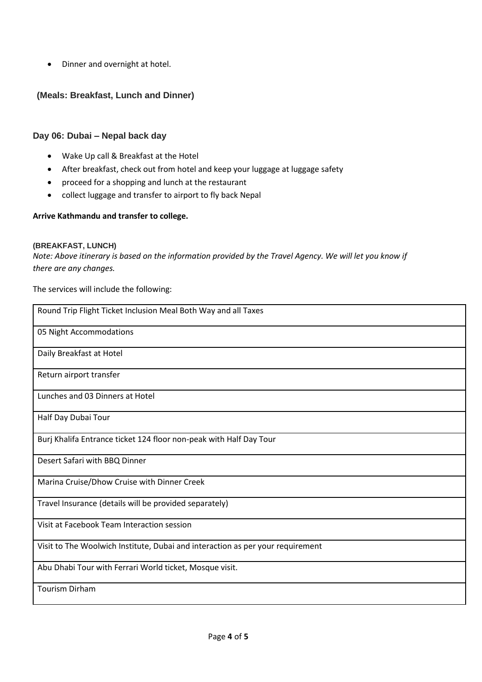Dinner and overnight at hotel.

# **(Meals: Breakfast, Lunch and Dinner)**

#### **Day 06: Dubai – Nepal back day**

- Wake Up call & Breakfast at the Hotel
- After breakfast, check out from hotel and keep your luggage at luggage safety
- proceed for a shopping and lunch at the restaurant
- collect luggage and transfer to airport to fly back Nepal

#### **Arrive Kathmandu and transfer to college.**

#### **(BREAKFAST, LUNCH)**

*Note: Above itinerary is based on the information provided by the Travel Agency. We will let you know if there are any changes.*

The services will include the following:

| Round Trip Flight Ticket Inclusion Meal Both Way and all Taxes                 |
|--------------------------------------------------------------------------------|
| 05 Night Accommodations                                                        |
| Daily Breakfast at Hotel                                                       |
| Return airport transfer                                                        |
| Lunches and 03 Dinners at Hotel                                                |
| Half Day Dubai Tour                                                            |
| Burj Khalifa Entrance ticket 124 floor non-peak with Half Day Tour             |
| Desert Safari with BBQ Dinner                                                  |
| Marina Cruise/Dhow Cruise with Dinner Creek                                    |
| Travel Insurance (details will be provided separately)                         |
| Visit at Facebook Team Interaction session                                     |
| Visit to The Woolwich Institute, Dubai and interaction as per your requirement |
| Abu Dhabi Tour with Ferrari World ticket, Mosque visit.                        |
| <b>Tourism Dirham</b>                                                          |